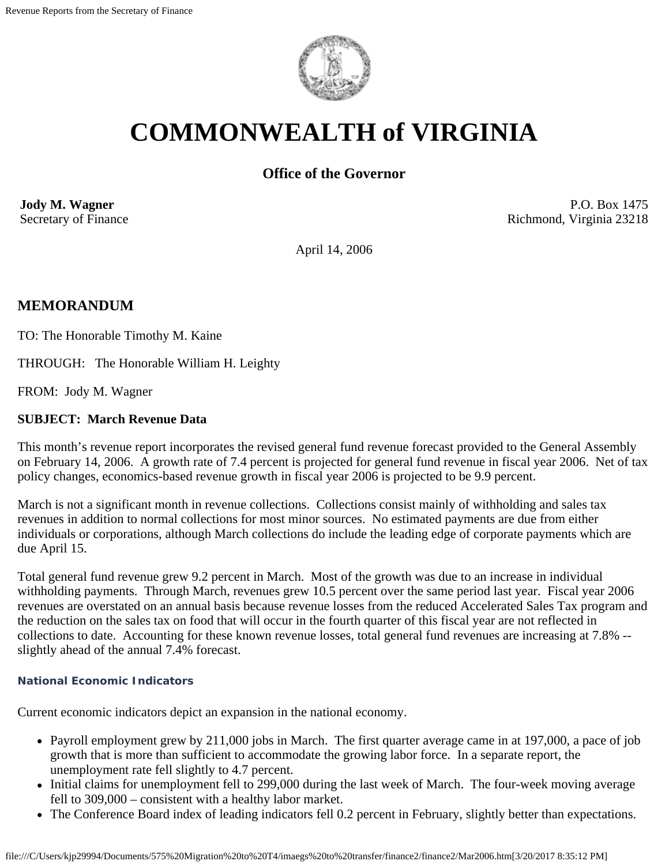

# **COMMONWEALTH of VIRGINIA**

## **Office of the Governor**

**Jody M. Wagner**  Secretary of Finance

P.O. Box 1475 Richmond, Virginia 23218

April 14, 2006

### **MEMORANDUM**

TO: The Honorable Timothy M. Kaine

THROUGH: The Honorable William H. Leighty

FROM: Jody M. Wagner

#### **SUBJECT: March Revenue Data**

This month's revenue report incorporates the revised general fund revenue forecast provided to the General Assembly on February 14, 2006. A growth rate of 7.4 percent is projected for general fund revenue in fiscal year 2006. Net of tax policy changes, economics-based revenue growth in fiscal year 2006 is projected to be 9.9 percent.

March is not a significant month in revenue collections. Collections consist mainly of withholding and sales tax revenues in addition to normal collections for most minor sources. No estimated payments are due from either individuals or corporations, although March collections do include the leading edge of corporate payments which are due April 15.

Total general fund revenue grew 9.2 percent in March. Most of the growth was due to an increase in individual withholding payments. Through March, revenues grew 10.5 percent over the same period last year. Fiscal year 2006 revenues are overstated on an annual basis because revenue losses from the reduced Accelerated Sales Tax program and the reduction on the sales tax on food that will occur in the fourth quarter of this fiscal year are not reflected in collections to date. Accounting for these known revenue losses, total general fund revenues are increasing at 7.8% - slightly ahead of the annual 7.4% forecast.

#### **National Economic Indicators**

Current economic indicators depict an expansion in the national economy.

- Payroll employment grew by 211,000 jobs in March. The first quarter average came in at 197,000, a pace of job growth that is more than sufficient to accommodate the growing labor force. In a separate report, the unemployment rate fell slightly to 4.7 percent.
- Initial claims for unemployment fell to 299,000 during the last week of March. The four-week moving average fell to 309,000 – consistent with a healthy labor market.
- The Conference Board index of leading indicators fell 0.2 percent in February, slightly better than expectations.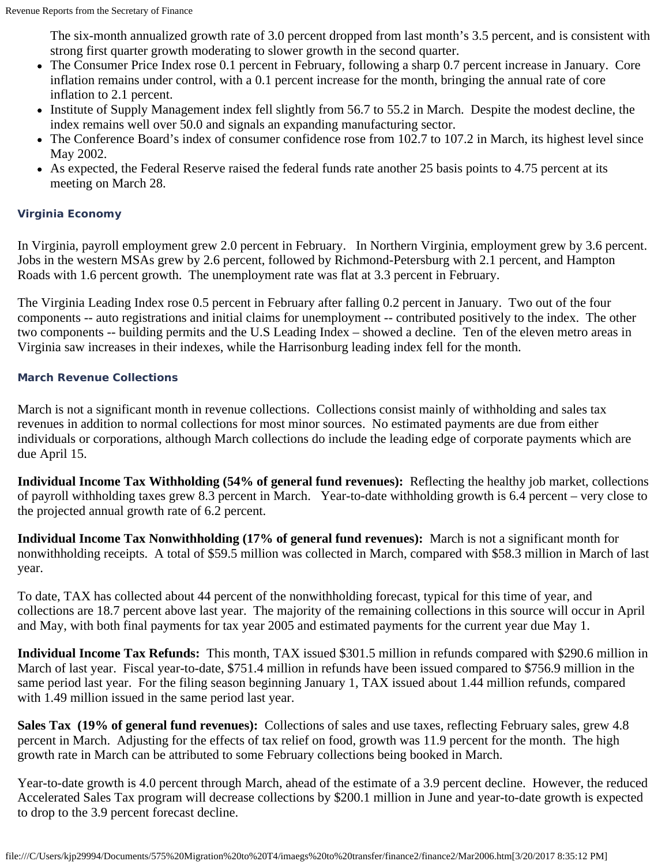The six-month annualized growth rate of 3.0 percent dropped from last month's 3.5 percent, and is consistent with strong first quarter growth moderating to slower growth in the second quarter.

- The Consumer Price Index rose 0.1 percent in February, following a sharp 0.7 percent increase in January. Core inflation remains under control, with a 0.1 percent increase for the month, bringing the annual rate of core inflation to 2.1 percent.
- Institute of Supply Management index fell slightly from 56.7 to 55.2 in March. Despite the modest decline, the index remains well over 50.0 and signals an expanding manufacturing sector.
- The Conference Board's index of consumer confidence rose from 102.7 to 107.2 in March, its highest level since May 2002.
- As expected, the Federal Reserve raised the federal funds rate another 25 basis points to 4.75 percent at its meeting on March 28.

#### **Virginia Economy**

In Virginia, payroll employment grew 2.0 percent in February. In Northern Virginia, employment grew by 3.6 percent. Jobs in the western MSAs grew by 2.6 percent, followed by Richmond-Petersburg with 2.1 percent, and Hampton Roads with 1.6 percent growth. The unemployment rate was flat at 3.3 percent in February.

The Virginia Leading Index rose 0.5 percent in February after falling 0.2 percent in January. Two out of the four components -- auto registrations and initial claims for unemployment -- contributed positively to the index. The other two components -- building permits and the U.S Leading Index – showed a decline. Ten of the eleven metro areas in Virginia saw increases in their indexes, while the Harrisonburg leading index fell for the month.

#### **March Revenue Collections**

March is not a significant month in revenue collections. Collections consist mainly of withholding and sales tax revenues in addition to normal collections for most minor sources. No estimated payments are due from either individuals or corporations, although March collections do include the leading edge of corporate payments which are due April 15.

**Individual Income Tax Withholding (54% of general fund revenues):** Reflecting the healthy job market, collections of payroll withholding taxes grew 8.3 percent in March. Year-to-date withholding growth is 6.4 percent – very close to the projected annual growth rate of 6.2 percent.

**Individual Income Tax Nonwithholding (17% of general fund revenues):** March is not a significant month for nonwithholding receipts. A total of \$59.5 million was collected in March, compared with \$58.3 million in March of last year.

To date, TAX has collected about 44 percent of the nonwithholding forecast, typical for this time of year, and collections are 18.7 percent above last year. The majority of the remaining collections in this source will occur in April and May, with both final payments for tax year 2005 and estimated payments for the current year due May 1.

**Individual Income Tax Refunds:** This month, TAX issued \$301.5 million in refunds compared with \$290.6 million in March of last year. Fiscal year-to-date, \$751.4 million in refunds have been issued compared to \$756.9 million in the same period last year. For the filing season beginning January 1, TAX issued about 1.44 million refunds, compared with 1.49 million issued in the same period last year.

**Sales Tax (19% of general fund revenues):** Collections of sales and use taxes, reflecting February sales, grew 4.8 percent in March. Adjusting for the effects of tax relief on food, growth was 11.9 percent for the month. The high growth rate in March can be attributed to some February collections being booked in March.

Year-to-date growth is 4.0 percent through March, ahead of the estimate of a 3.9 percent decline. However, the reduced Accelerated Sales Tax program will decrease collections by \$200.1 million in June and year-to-date growth is expected to drop to the 3.9 percent forecast decline.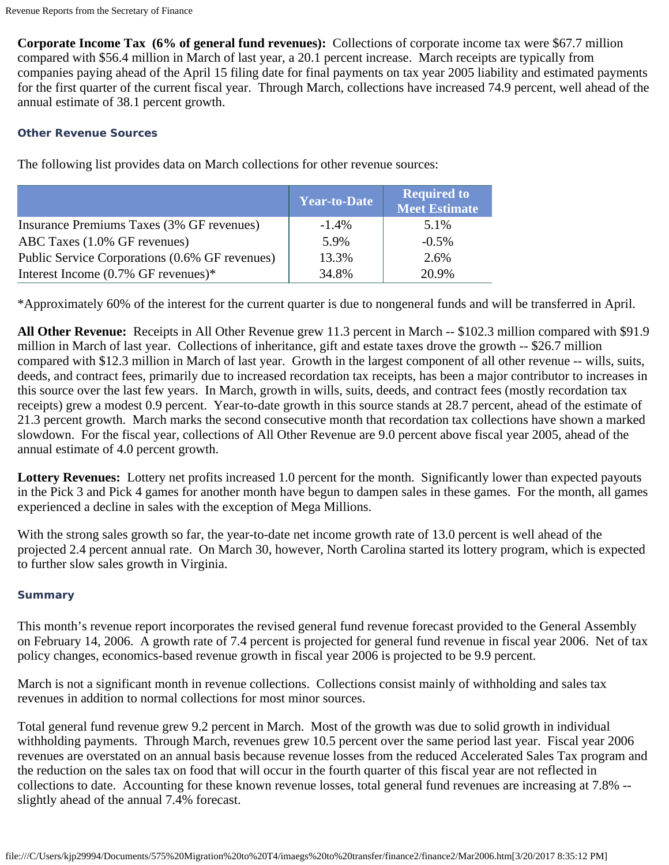**Corporate Income Tax (6% of general fund revenues):** Collections of corporate income tax were \$67.7 million compared with \$56.4 million in March of last year, a 20.1 percent increase. March receipts are typically from companies paying ahead of the April 15 filing date for final payments on tax year 2005 liability and estimated payments for the first quarter of the current fiscal year. Through March, collections have increased 74.9 percent, well ahead of the annual estimate of 38.1 percent growth.

#### **Other Revenue Sources**

|                                                | <b>Year-to-Date</b> | <b>Required to</b><br>Meet Estimate |
|------------------------------------------------|---------------------|-------------------------------------|
| Insurance Premiums Taxes (3% GF revenues)      | $-1.4%$             | 5.1%                                |
| ABC Taxes (1.0% GF revenues)                   | 5.9%                | $-0.5%$                             |
| Public Service Corporations (0.6% GF revenues) | 13.3%               | 2.6%                                |
| Interest Income (0.7% GF revenues)*            | 34.8%               | 20.9%                               |

The following list provides data on March collections for other revenue sources:

\*Approximately 60% of the interest for the current quarter is due to nongeneral funds and will be transferred in April.

**All Other Revenue:** Receipts in All Other Revenue grew 11.3 percent in March -- \$102.3 million compared with \$91.9 million in March of last year. Collections of inheritance, gift and estate taxes drove the growth -- \$26.7 million compared with \$12.3 million in March of last year. Growth in the largest component of all other revenue -- wills, suits, deeds, and contract fees, primarily due to increased recordation tax receipts, has been a major contributor to increases in this source over the last few years. In March, growth in wills, suits, deeds, and contract fees (mostly recordation tax receipts) grew a modest 0.9 percent. Year-to-date growth in this source stands at 28.7 percent, ahead of the estimate of 21.3 percent growth. March marks the second consecutive month that recordation tax collections have shown a marked slowdown. For the fiscal year, collections of All Other Revenue are 9.0 percent above fiscal year 2005, ahead of the annual estimate of 4.0 percent growth.

**Lottery Revenues:** Lottery net profits increased 1.0 percent for the month. Significantly lower than expected payouts in the Pick 3 and Pick 4 games for another month have begun to dampen sales in these games. For the month, all games experienced a decline in sales with the exception of Mega Millions.

With the strong sales growth so far, the year-to-date net income growth rate of 13.0 percent is well ahead of the projected 2.4 percent annual rate. On March 30, however, North Carolina started its lottery program, which is expected to further slow sales growth in Virginia.

#### **Summary**

This month's revenue report incorporates the revised general fund revenue forecast provided to the General Assembly on February 14, 2006. A growth rate of 7.4 percent is projected for general fund revenue in fiscal year 2006. Net of tax policy changes, economics-based revenue growth in fiscal year 2006 is projected to be 9.9 percent.

March is not a significant month in revenue collections. Collections consist mainly of withholding and sales tax revenues in addition to normal collections for most minor sources.

Total general fund revenue grew 9.2 percent in March. Most of the growth was due to solid growth in individual withholding payments. Through March, revenues grew 10.5 percent over the same period last year. Fiscal year 2006 revenues are overstated on an annual basis because revenue losses from the reduced Accelerated Sales Tax program and the reduction on the sales tax on food that will occur in the fourth quarter of this fiscal year are not reflected in collections to date. Accounting for these known revenue losses, total general fund revenues are increasing at 7.8% - slightly ahead of the annual 7.4% forecast.